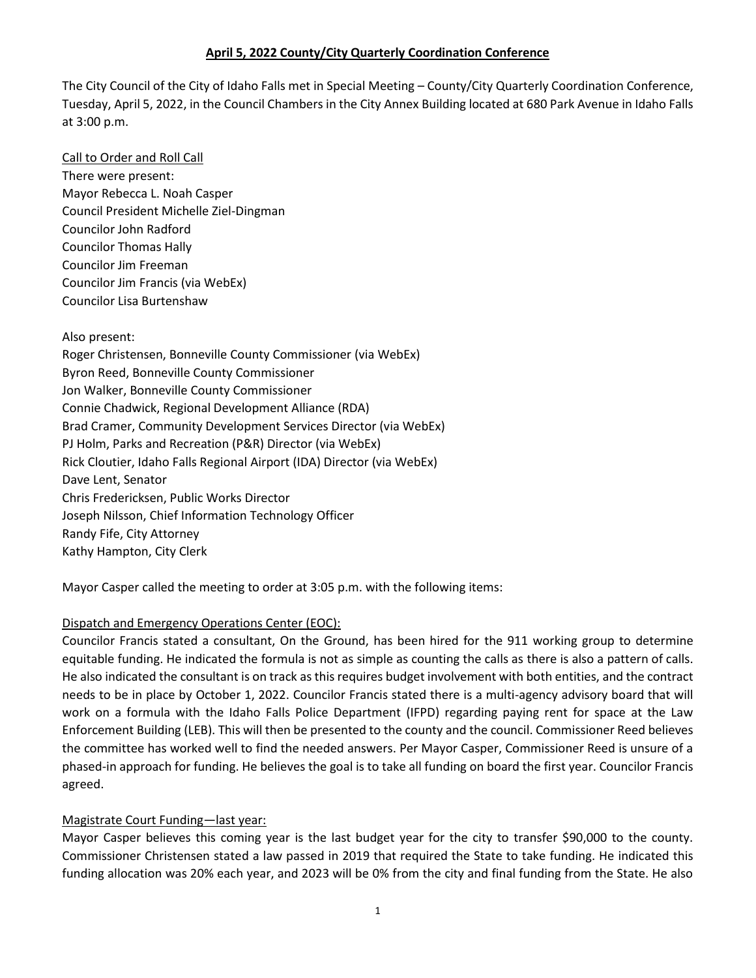The City Council of the City of Idaho Falls met in Special Meeting – County/City Quarterly Coordination Conference, Tuesday, April 5, 2022, in the Council Chambers in the City Annex Building located at 680 Park Avenue in Idaho Falls at 3:00 p.m.

## Call to Order and Roll Call

There were present: Mayor Rebecca L. Noah Casper Council President Michelle Ziel-Dingman Councilor John Radford Councilor Thomas Hally Councilor Jim Freeman Councilor Jim Francis (via WebEx) Councilor Lisa Burtenshaw

## Also present:

Roger Christensen, Bonneville County Commissioner (via WebEx) Byron Reed, Bonneville County Commissioner Jon Walker, Bonneville County Commissioner Connie Chadwick, Regional Development Alliance (RDA) Brad Cramer, Community Development Services Director (via WebEx) PJ Holm, Parks and Recreation (P&R) Director (via WebEx) Rick Cloutier, Idaho Falls Regional Airport (IDA) Director (via WebEx) Dave Lent, Senator Chris Fredericksen, Public Works Director Joseph Nilsson, Chief Information Technology Officer Randy Fife, City Attorney Kathy Hampton, City Clerk

Mayor Casper called the meeting to order at 3:05 p.m. with the following items:

# Dispatch and Emergency Operations Center (EOC):

Councilor Francis stated a consultant, On the Ground, has been hired for the 911 working group to determine equitable funding. He indicated the formula is not as simple as counting the calls as there is also a pattern of calls. He also indicated the consultant is on track as this requires budget involvement with both entities, and the contract needs to be in place by October 1, 2022. Councilor Francis stated there is a multi-agency advisory board that will work on a formula with the Idaho Falls Police Department (IFPD) regarding paying rent for space at the Law Enforcement Building (LEB). This will then be presented to the county and the council. Commissioner Reed believes the committee has worked well to find the needed answers. Per Mayor Casper, Commissioner Reed is unsure of a phased-in approach for funding. He believes the goal is to take all funding on board the first year. Councilor Francis agreed.

# Magistrate Court Funding—last year:

Mayor Casper believes this coming year is the last budget year for the city to transfer \$90,000 to the county. Commissioner Christensen stated a law passed in 2019 that required the State to take funding. He indicated this funding allocation was 20% each year, and 2023 will be 0% from the city and final funding from the State. He also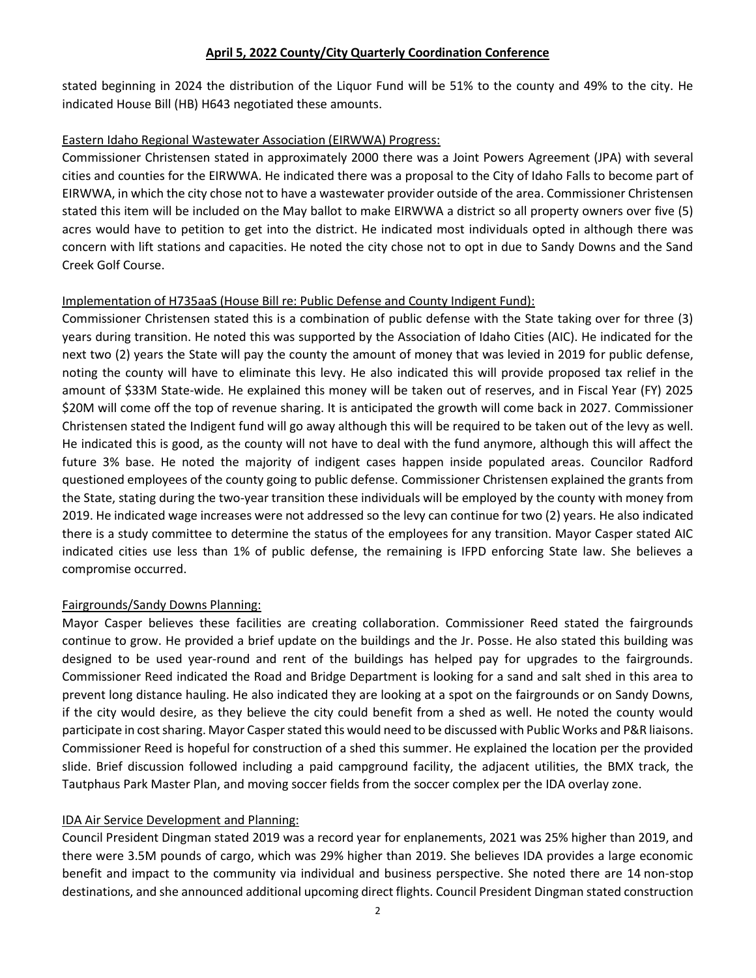stated beginning in 2024 the distribution of the Liquor Fund will be 51% to the county and 49% to the city. He indicated House Bill (HB) H643 negotiated these amounts.

#### Eastern Idaho Regional Wastewater Association (EIRWWA) Progress:

Commissioner Christensen stated in approximately 2000 there was a Joint Powers Agreement (JPA) with several cities and counties for the EIRWWA. He indicated there was a proposal to the City of Idaho Falls to become part of EIRWWA, in which the city chose not to have a wastewater provider outside of the area. Commissioner Christensen stated this item will be included on the May ballot to make EIRWWA a district so all property owners over five (5) acres would have to petition to get into the district. He indicated most individuals opted in although there was concern with lift stations and capacities. He noted the city chose not to opt in due to Sandy Downs and the Sand Creek Golf Course.

### Implementation of H735aaS (House Bill re: Public Defense and County Indigent Fund):

Commissioner Christensen stated this is a combination of public defense with the State taking over for three (3) years during transition. He noted this was supported by the Association of Idaho Cities (AIC). He indicated for the next two (2) years the State will pay the county the amount of money that was levied in 2019 for public defense, noting the county will have to eliminate this levy. He also indicated this will provide proposed tax relief in the amount of \$33M State-wide. He explained this money will be taken out of reserves, and in Fiscal Year (FY) 2025 \$20M will come off the top of revenue sharing. It is anticipated the growth will come back in 2027. Commissioner Christensen stated the Indigent fund will go away although this will be required to be taken out of the levy as well. He indicated this is good, as the county will not have to deal with the fund anymore, although this will affect the future 3% base. He noted the majority of indigent cases happen inside populated areas. Councilor Radford questioned employees of the county going to public defense. Commissioner Christensen explained the grants from the State, stating during the two-year transition these individuals will be employed by the county with money from 2019. He indicated wage increases were not addressed so the levy can continue for two (2) years. He also indicated there is a study committee to determine the status of the employees for any transition. Mayor Casper stated AIC indicated cities use less than 1% of public defense, the remaining is IFPD enforcing State law. She believes a compromise occurred.

### Fairgrounds/Sandy Downs Planning:

Mayor Casper believes these facilities are creating collaboration. Commissioner Reed stated the fairgrounds continue to grow. He provided a brief update on the buildings and the Jr. Posse. He also stated this building was designed to be used year-round and rent of the buildings has helped pay for upgrades to the fairgrounds. Commissioner Reed indicated the Road and Bridge Department is looking for a sand and salt shed in this area to prevent long distance hauling. He also indicated they are looking at a spot on the fairgrounds or on Sandy Downs, if the city would desire, as they believe the city could benefit from a shed as well. He noted the county would participate in cost sharing. Mayor Casper stated this would need to be discussed with Public Works and P&R liaisons. Commissioner Reed is hopeful for construction of a shed this summer. He explained the location per the provided slide. Brief discussion followed including a paid campground facility, the adjacent utilities, the BMX track, the Tautphaus Park Master Plan, and moving soccer fields from the soccer complex per the IDA overlay zone.

### IDA Air Service Development and Planning:

Council President Dingman stated 2019 was a record year for enplanements, 2021 was 25% higher than 2019, and there were 3.5M pounds of cargo, which was 29% higher than 2019. She believes IDA provides a large economic benefit and impact to the community via individual and business perspective. She noted there are 14 non-stop destinations, and she announced additional upcoming direct flights. Council President Dingman stated construction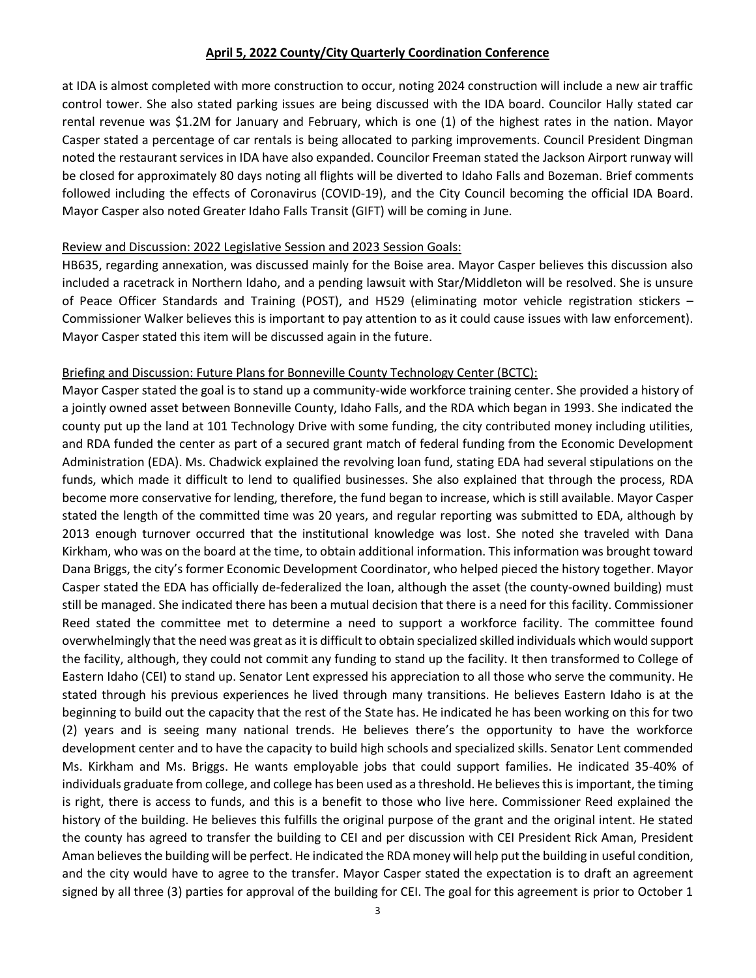at IDA is almost completed with more construction to occur, noting 2024 construction will include a new air traffic control tower. She also stated parking issues are being discussed with the IDA board. Councilor Hally stated car rental revenue was \$1.2M for January and February, which is one (1) of the highest rates in the nation. Mayor Casper stated a percentage of car rentals is being allocated to parking improvements. Council President Dingman noted the restaurant services in IDA have also expanded. Councilor Freeman stated the Jackson Airport runway will be closed for approximately 80 days noting all flights will be diverted to Idaho Falls and Bozeman. Brief comments followed including the effects of Coronavirus (COVID-19), and the City Council becoming the official IDA Board. Mayor Casper also noted Greater Idaho Falls Transit (GIFT) will be coming in June.

### Review and Discussion: 2022 Legislative Session and 2023 Session Goals:

HB635, regarding annexation, was discussed mainly for the Boise area. Mayor Casper believes this discussion also included a racetrack in Northern Idaho, and a pending lawsuit with Star/Middleton will be resolved. She is unsure of Peace Officer Standards and Training (POST), and H529 (eliminating motor vehicle registration stickers – Commissioner Walker believes this is important to pay attention to as it could cause issues with law enforcement). Mayor Casper stated this item will be discussed again in the future.

## Briefing and Discussion: Future Plans for Bonneville County Technology Center (BCTC):

Mayor Casper stated the goal is to stand up a community-wide workforce training center. She provided a history of a jointly owned asset between Bonneville County, Idaho Falls, and the RDA which began in 1993. She indicated the county put up the land at 101 Technology Drive with some funding, the city contributed money including utilities, and RDA funded the center as part of a secured grant match of federal funding from the Economic Development Administration (EDA). Ms. Chadwick explained the revolving loan fund, stating EDA had several stipulations on the funds, which made it difficult to lend to qualified businesses. She also explained that through the process, RDA become more conservative for lending, therefore, the fund began to increase, which is still available. Mayor Casper stated the length of the committed time was 20 years, and regular reporting was submitted to EDA, although by 2013 enough turnover occurred that the institutional knowledge was lost. She noted she traveled with Dana Kirkham, who was on the board at the time, to obtain additional information. This information was brought toward Dana Briggs, the city's former Economic Development Coordinator, who helped pieced the history together. Mayor Casper stated the EDA has officially de-federalized the loan, although the asset (the county-owned building) must still be managed. She indicated there has been a mutual decision that there is a need for this facility. Commissioner Reed stated the committee met to determine a need to support a workforce facility. The committee found overwhelmingly that the need was great as it is difficult to obtain specialized skilled individuals which would support the facility, although, they could not commit any funding to stand up the facility. It then transformed to College of Eastern Idaho (CEI) to stand up. Senator Lent expressed his appreciation to all those who serve the community. He stated through his previous experiences he lived through many transitions. He believes Eastern Idaho is at the beginning to build out the capacity that the rest of the State has. He indicated he has been working on this for two (2) years and is seeing many national trends. He believes there's the opportunity to have the workforce development center and to have the capacity to build high schools and specialized skills. Senator Lent commended Ms. Kirkham and Ms. Briggs. He wants employable jobs that could support families. He indicated 35-40% of individuals graduate from college, and college has been used as a threshold. He believes this is important, the timing is right, there is access to funds, and this is a benefit to those who live here. Commissioner Reed explained the history of the building. He believes this fulfills the original purpose of the grant and the original intent. He stated the county has agreed to transfer the building to CEI and per discussion with CEI President Rick Aman, President Aman believes the building will be perfect. He indicated the RDA money will help put the building in useful condition, and the city would have to agree to the transfer. Mayor Casper stated the expectation is to draft an agreement signed by all three (3) parties for approval of the building for CEI. The goal for this agreement is prior to October 1